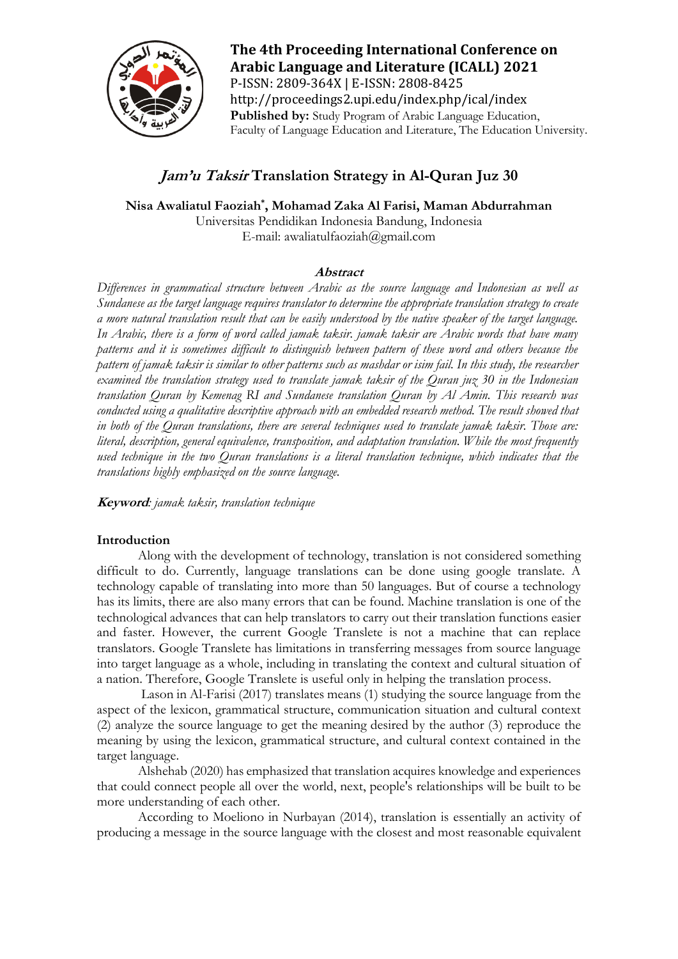

**The 4th Proceeding International Conference on Arabic Language and Literature (ICALL) 2021** P-ISSN: 2809-364X | E-ISSN: 2808-8425 http://proceedings2.upi.edu/index.php/ical/index **Published by:** Study Program of Arabic Language Education, Faculty of Language Education and Literature, The Education University.

# **Jam'u Taksir Translation Strategy in Al-Quran Juz 30**

**Nisa Awaliatul Faoziah\* , Mohamad Zaka Al Farisi, Maman Abdurrahman**

Universitas Pendidikan Indonesia Bandung, Indonesia E-mail: [awaliatulfaoziah@gmail.com](mailto:awaliatulfaoziah@gmail.com)

# **Abstract**

*Differences in grammatical structure between Arabic as the source language and Indonesian as well as Sundanese as the target language requires translator to determine the appropriate translation strategy to create a more natural translation result that can be easily understood by the native speaker of the target language. In Arabic, there is a form of word called jamak taksir. jamak taksir are Arabic words that have many patterns and it is sometimes difficult to distinguish between pattern of these word and others because the pattern of jamak taksir is similar to other patterns such as mashdar or isim fail. In this study, the researcher examined the translation strategy used to translate jamak taksir of the Quran juz 30 in the Indonesian translation Quran by Kemenag RI and Sundanese translation Quran by Al Amin. This research was*  conducted using a qualitative descriptive approach with an embedded research method. The result showed that *in both of the Quran translations, there are several techniques used to translate jamak taksir. Those are: literal, description, general equivalence, transposition, and adaptation translation. While the most frequently used technique in the two Quran translations is a literal translation technique, which indicates that the translations highly emphasized on the source language.*

**Keyword***: jamak taksir, translation technique*

# **Introduction**

Along with the development of technology, translation is not considered something difficult to do. Currently, language translations can be done using google translate. A technology capable of translating into more than 50 languages. But of course a technology has its limits, there are also many errors that can be found. Machine translation is one of the technological advances that can help translators to carry out their translation functions easier and faster. However, the current Google Translete is not a machine that can replace translators. Google Translete has limitations in transferring messages from source language into target language as a whole, including in translating the context and cultural situation of a nation. Therefore, Google Translete is useful only in helping the translation process.

Lason in Al-Farisi (2017) translates means (1) studying the source language from the aspect of the lexicon, grammatical structure, communication situation and cultural context (2) analyze the source language to get the meaning desired by the author (3) reproduce the meaning by using the lexicon, grammatical structure, and cultural context contained in the target language.

Alshehab (2020) has emphasized that translation acquires knowledge and experiences that could connect people all over the world, next, people's relationships will be built to be more understanding of each other.

According to Moeliono in Nurbayan (2014), translation is essentially an activity of producing a message in the source language with the closest and most reasonable equivalent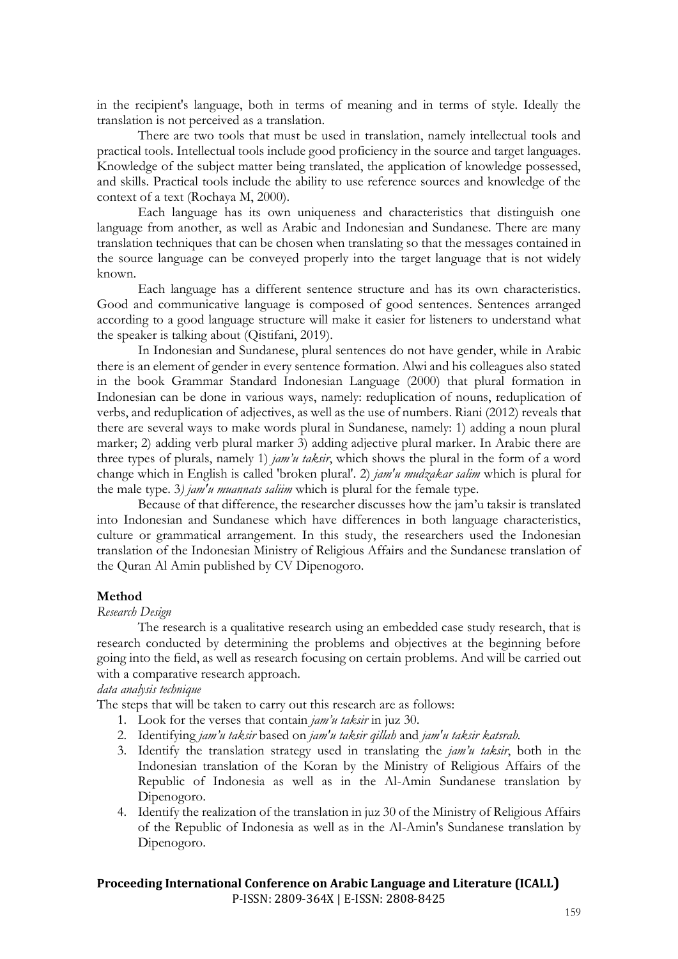in the recipient's language, both in terms of meaning and in terms of style. Ideally the translation is not perceived as a translation.

There are two tools that must be used in translation, namely intellectual tools and practical tools. Intellectual tools include good proficiency in the source and target languages. Knowledge of the subject matter being translated, the application of knowledge possessed, and skills. Practical tools include the ability to use reference sources and knowledge of the context of a text (Rochaya M, 2000).

Each language has its own uniqueness and characteristics that distinguish one language from another, as well as Arabic and Indonesian and Sundanese. There are many translation techniques that can be chosen when translating so that the messages contained in the source language can be conveyed properly into the target language that is not widely known.

Each language has a different sentence structure and has its own characteristics. Good and communicative language is composed of good sentences. Sentences arranged according to a good language structure will make it easier for listeners to understand what the speaker is talking about (Qistifani, 2019).

In Indonesian and Sundanese, plural sentences do not have gender, while in Arabic there is an element of gender in every sentence formation. Alwi and his colleagues also stated in the book Grammar Standard Indonesian Language (2000) that plural formation in Indonesian can be done in various ways, namely: reduplication of nouns, reduplication of verbs, and reduplication of adjectives, as well as the use of numbers. Riani (2012) reveals that there are several ways to make words plural in Sundanese, namely: 1) adding a noun plural marker; 2) adding verb plural marker 3) adding adjective plural marker. In Arabic there are three types of plurals, namely 1) *jam'u taksir*, which shows the plural in the form of a word change which in English is called 'broken plural'. 2) *jam'u mudzakar salim* which is plural for the male type. 3*) jam'u muannats saliim* which is plural for the female type.

Because of that difference, the researcher discusses how the jam'u taksir is translated into Indonesian and Sundanese which have differences in both language characteristics, culture or grammatical arrangement. In this study, the researchers used the Indonesian translation of the Indonesian Ministry of Religious Affairs and the Sundanese translation of the Quran Al Amin published by CV Dipenogoro.

### **Method**

#### *Research Design*

The research is a qualitative research using an embedded case study research, that is research conducted by determining the problems and objectives at the beginning before going into the field, as well as research focusing on certain problems. And will be carried out with a comparative research approach.

*data analysis technique*

The steps that will be taken to carry out this research are as follows:

- 1. Look for the verses that contain *jam'u taksir* in juz 30.
- 2. Identifying *jam'u taksir* based on *jam'u taksir qillah* and *jam'u taksir katsrah.*
- 3. Identify the translation strategy used in translating the *jam'u taksir*, both in the Indonesian translation of the Koran by the Ministry of Religious Affairs of the Republic of Indonesia as well as in the Al-Amin Sundanese translation by Dipenogoro.
- 4. Identify the realization of the translation in juz 30 of the Ministry of Religious Affairs of the Republic of Indonesia as well as in the Al-Amin's Sundanese translation by Dipenogoro.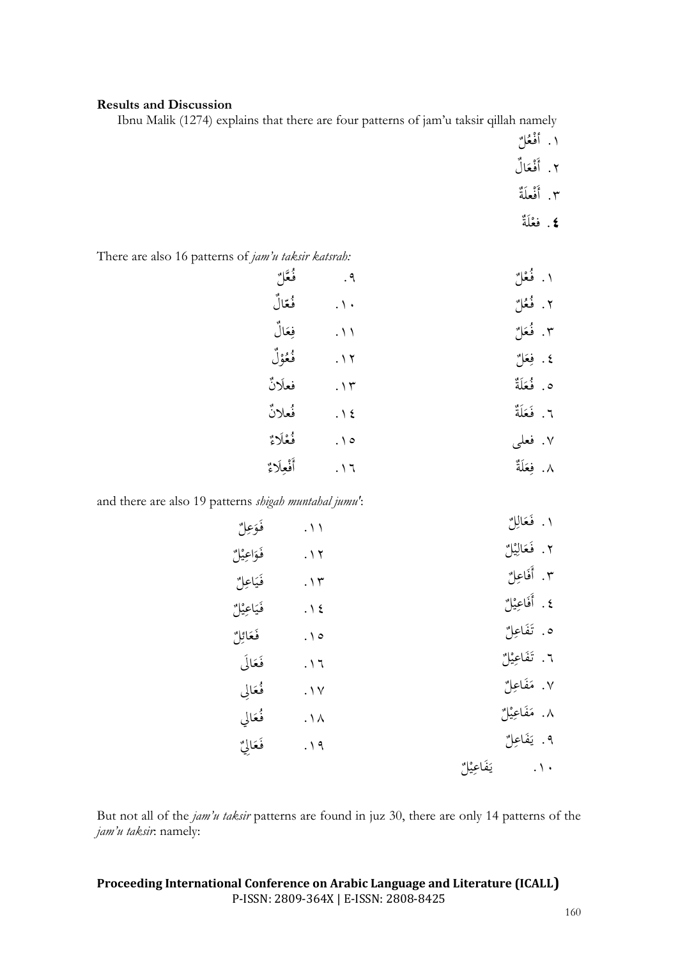### **Results and Discussion**

Ibnu Malik (1274) explains that there are four patterns of jam'u taksir qillah namely

- ١. أفْعُلٌ<br>م
- ٢. أَفْعَالُ
- ٢. أَفْعَلَةٌ
	- **٤**. فعْلَةٌ

There are also 16 patterns of *jam'u taksir katsrah:*

| فُعَلَم   | . $\uparrow$               | ١. فُعْلٌ   |
|-----------|----------------------------|-------------|
| فُعّالٌ   | $\cdot \wedge \cdot$       | ٢. فُعُلٌ   |
| فِعَالٌ   | $\cdot \wedge \wedge$      | ٣. فُعَلٌ   |
| فُعُوْلُ  | $. \setminus \overline{1}$ | ٤. فِعَلْ   |
| فعلانٌ    | $.\,$ \ $\mathsf{r}$       | ٥. فُعَلَةٌ |
| فُعلانٌ   | $.\n$                      | ٦. فَعَلَةٌ |
| فُعْلَاءٌ | $\cdot \wedge \circ$       | ۰۷ فعلبي    |
| أفعلاء    | $. \setminus 7$            | ٨. فِعَلَةٌ |
|           |                            |             |

and there are also 19 patterns *shigah muntahal jumu'*:

| فَوَعِلٌ    | $\cdot \wedge$            | ١. فَعَالِلٌ                   |
|-------------|---------------------------|--------------------------------|
| فَوَاعِيْلٌ | $. \setminus \tau$        | ٢. فَعَالِيْلٌ                 |
| فَيَاعِلٌ   | . $\gamma$ $\tau$         | ٣. أَفَاعِلٌ                   |
| فَيَاعِيْلُ | $.\,$ \ {                 | ٤. أَفَاعِيْلُ                 |
| فَعَائِلٌ   | $\cdot \wedge \circ$      | ه. تَفَاعِلٌ                   |
| فَعَالَى    | $. \setminus 7$           | ٦. تَفَاعِيْلٌ                 |
| فُعَالي     | $\cdot \vee$              | ٧. مَفَاعِلٌ                   |
| فُعَالَى    | $\cdot \wedge \wedge$     | ٨. مَفَاعِيْلٌ                 |
| فَعَالِيٌّ  | $. \setminus \mathcal{A}$ | ۹. يَفَاعِلٌ                   |
|             |                           | يَفَاعِيْلٌ<br>. $\setminus$ . |

But not all of the *jam'u taksir* patterns are found in juz 30, there are only 14 patterns of the *jam'u taksir*: namely: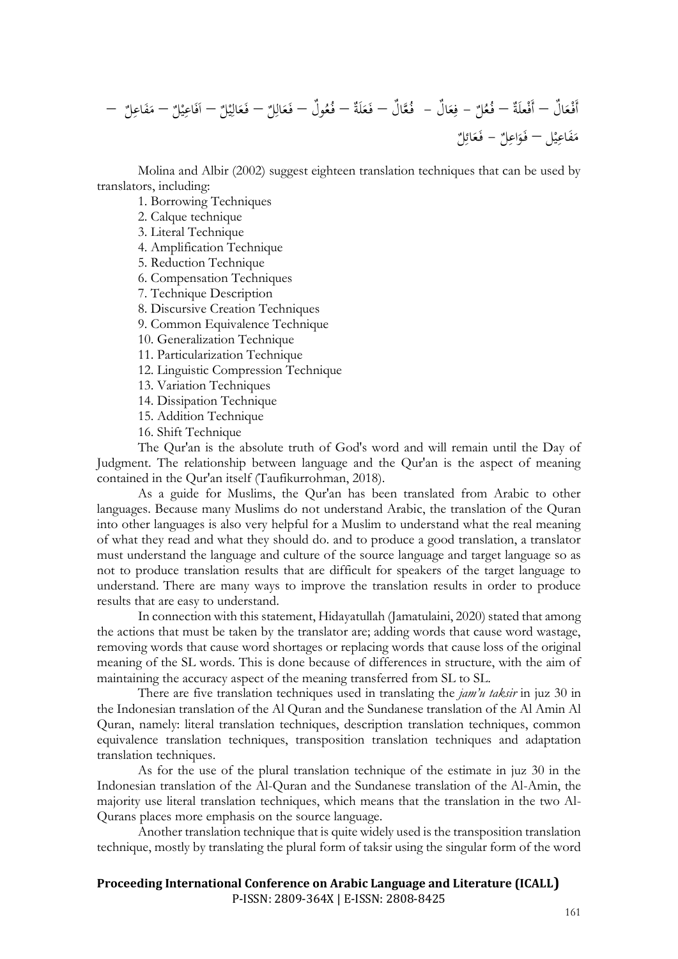

Molina and Albir (2002) suggest eighteen translation techniques that can be used by translators, including:

1. Borrowing Techniques

2. Calque technique

3. Literal Technique

4. Amplification Technique

5. Reduction Technique

6. Compensation Techniques

7. Technique Description

8. Discursive Creation Techniques

9. Common Equivalence Technique

10. Generalization Technique

11. Particularization Technique

12. Linguistic Compression Technique

13. Variation Techniques

14. Dissipation Technique

15. Addition Technique

16. Shift Technique

The Qur'an is the absolute truth of God's word and will remain until the Day of Judgment. The relationship between language and the Qur'an is the aspect of meaning contained in the Qur'an itself (Taufikurrohman, 2018).

As a guide for Muslims, the Qur'an has been translated from Arabic to other languages. Because many Muslims do not understand Arabic, the translation of the Quran into other languages is also very helpful for a Muslim to understand what the real meaning of what they read and what they should do. and to produce a good translation, a translator must understand the language and culture of the source language and target language so as not to produce translation results that are difficult for speakers of the target language to understand. There are many ways to improve the translation results in order to produce results that are easy to understand.

In connection with this statement, Hidayatullah (Jamatulaini, 2020) stated that among the actions that must be taken by the translator are; adding words that cause word wastage, removing words that cause word shortages or replacing words that cause loss of the original meaning of the SL words. This is done because of differences in structure, with the aim of maintaining the accuracy aspect of the meaning transferred from SL to SL.

There are five translation techniques used in translating the *jam'u taksir* in juz 30 in the Indonesian translation of the Al Quran and the Sundanese translation of the Al Amin Al Quran, namely: literal translation techniques, description translation techniques, common equivalence translation techniques, transposition translation techniques and adaptation translation techniques.

As for the use of the plural translation technique of the estimate in juz 30 in the Indonesian translation of the Al-Quran and the Sundanese translation of the Al-Amin, the majority use literal translation techniques, which means that the translation in the two Al-Qurans places more emphasis on the source language.

Another translation technique that is quite widely used is the transposition translation technique, mostly by translating the plural form of taksir using the singular form of the word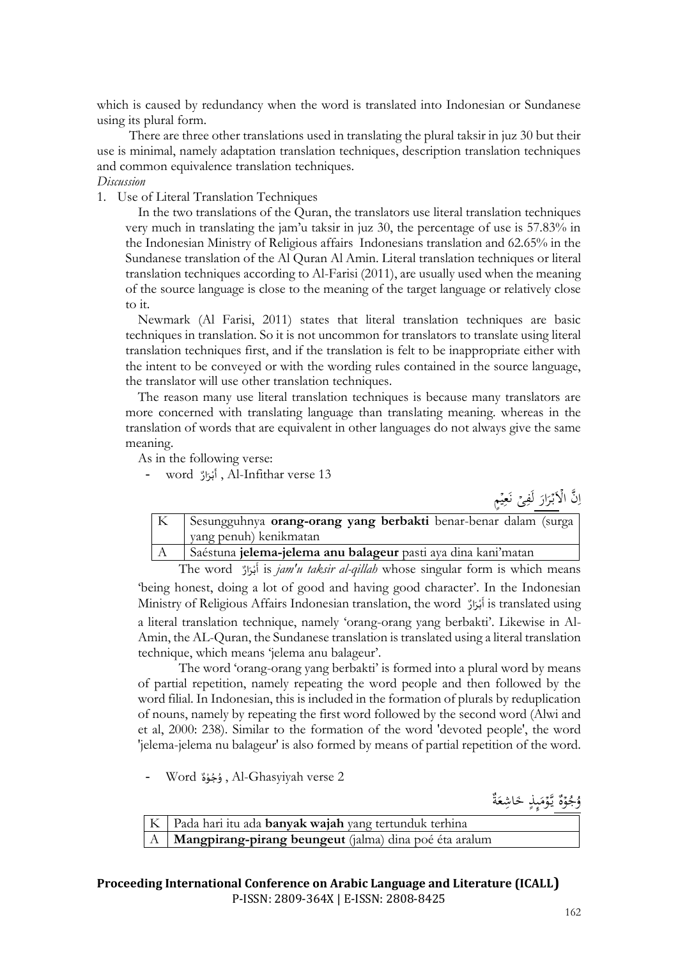which is caused by redundancy when the word is translated into Indonesian or Sundanese using its plural form.

There are three other translations used in translating the plural taksir in juz 30 but their use is minimal, namely adaptation translation techniques, description translation techniques and common equivalence translation techniques.

### *Discussion*

1. Use of Literal Translation Techniques

In the two translations of the Quran, the translators use literal translation techniques very much in translating the jam'u taksir in juz 30, the percentage of use is 57.83% in the Indonesian Ministry of Religious affairs Indonesians translation and 62.65% in the Sundanese translation of the Al Quran Al Amin. Literal translation techniques or literal translation techniques according to Al-Farisi (2011), are usually used when the meaning of the source language is close to the meaning of the target language or relatively close to it.

Newmark (Al Farisi, 2011) states that literal translation techniques are basic techniques in translation. So it is not uncommon for translators to translate using literal translation techniques first, and if the translation is felt to be inappropriate either with the intent to be conveyed or with the wording rules contained in the source language, the translator will use other translation techniques.

The reason many use literal translation techniques is because many translators are more concerned with translating language than translating meaning. whereas in the translation of words that are equivalent in other languages do not always give the same meaning.

As in the following verse: \<br>=

- word ار ر ب أ , Al-Infithar verse 13 َ ់<br>:

نَّ الْأَبْرَارَ لَفِىً نَعِيْمٍ  $\frac{1}{2}$ ي ِ<br>ِي ن ِ <u>ً</u> <u>ّز</u> ر<br>ر ہ<br>أ  $\frac{1}{2}$ ا

| K | Sesungguhnya orang-orang yang berbakti benar-benar dalam (surga |
|---|-----------------------------------------------------------------|
|   | yang penuh) kenikmatan                                          |
|   |                                                                 |

A Saéstuna **jelema-jelema anu balageur** pasti aya dina kani'matan ֦֧֦֧<u>֓</u> َ

The word ار ر ب أ is *jam'u taksir al-qillah* whose singular form is which means **่** 'being honest, doing a lot of good and having good character'. In the Indonesian Ministry of Religious Affairs Indonesian translation, the word أَبْرَارٌ is translated using َ **ٔ** َ a literal translation technique, namely 'orang-orang yang berbakti'. Likewise in Al-Amin, the AL-Quran, the Sundanese translation is translated using a literal translation technique, which means 'jelema anu balageur'.

The word 'orang-orang yang berbakti' is formed into a plural word by means of partial repetition, namely repeating the word people and then followed by the word filial. In Indonesian, this is included in the formation of plurals by reduplication of nouns, namely by repeating the first word followed by the second word (Alwi and et al, 2000: 238). Similar to the formation of the word 'devoted people', the word 'jelema-jelema nu balageur' is also formed by means of partial repetition of the word.

- Word ه و ج و , Al-Ghasyiyah verse 2 ֦֧֦֧֦֧֦֧֦֧֦֧֦֧֦ ُ ؚ<br>؞

> ة ع اشِ خ ِٕٮذ م َّو ي ه و ُ ُج و َ َ  $\overline{a}$ ۔<br>م ر<br>م

| K   Pada hari itu ada <b>banyak wajah</b> yang tertunduk terhina |
|------------------------------------------------------------------|
| A   Mangpirang-pirang beungeut (jalma) dina poé éta aralum       |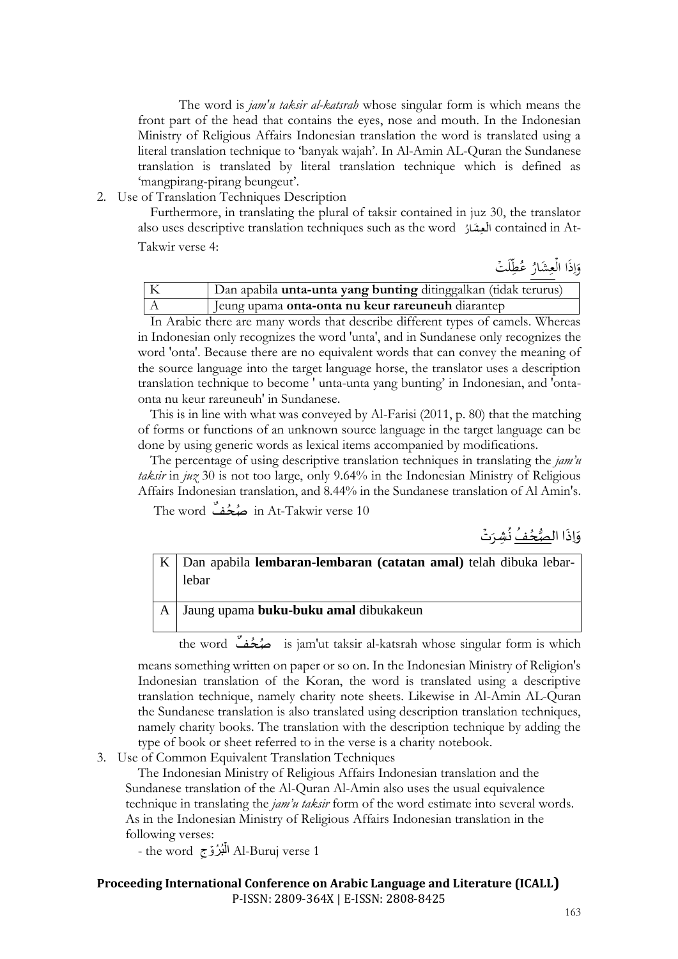The word is *jam'u taksir al-katsrah* whose singular form is which means the front part of the head that contains the eyes, nose and mouth. In the Indonesian Ministry of Religious Affairs Indonesian translation the word is translated using a literal translation technique to 'banyak wajah'. In Al-Amin AL-Quran the Sundanese translation is translated by literal translation technique which is defined as 'mangpirang-pirang beungeut'.

2. Use of Translation Techniques Description

Furthermore, in translating the plural of taksir contained in juz 30, the translator also uses descriptive translation techniques such as the word ُ ار ِعش ال contained in At-ູ່ ់ Takwir verse 4:

لَتۡ ُطّ ٌع ُ َشار ع ذَا ال و ِّ ِ ہ<br>آ  $\frac{1}{2}$ ا ِّ

| Dan apabila unta-unta yang bunting ditinggalkan (tidak terurus) |  |  |
|-----------------------------------------------------------------|--|--|
| Jeung upama onta-onta nu keur rareuneuh diarantep               |  |  |
|                                                                 |  |  |

In Arabic there are many words that describe different types of camels. Whereas in Indonesian only recognizes the word 'unta', and in Sundanese only recognizes the word 'onta'. Because there are no equivalent words that can convey the meaning of the source language into the target language horse, the translator uses a description translation technique to become ' unta-unta yang bunting' in Indonesian, and 'ontaonta nu keur rareuneuh' in Sundanese.

This is in line with what was conveyed by Al-Farisi (2011, p. 80) that the matching of forms or functions of an unknown source language in the target language can be done by using generic words as lexical items accompanied by modifications.

The percentage of using descriptive translation techniques in translating the *jam'u taksir* in *juz* 30 is not too large, only 9.64% in the Indonesian Ministry of Religious Affairs Indonesian translation, and 8.44% in the Sundanese translation of Al Amin's.

The word ف ُصح in At-Takwir verse 10 ۔<br>ا

֦֧֦֦֦֦֦֦֦ وَإِذَا ال<u>ْصُحُّفُ</u> نُشِرَت<u>ُ</u> ُ ُ ر<br>ر  $\ddot{\cdot}$  $\tilde{\cdot}$ 

K Dan apabila **lembaran-lembaran (catatan amal)** telah dibuka lebarlebar

A Jaung upama **buku-buku amal** dibukakeun

the word ف ُصح is jam'ut taksir al-katsrah whose singular form is which ُ

means something written on paper or so on. In the Indonesian Ministry of Religion's Indonesian translation of the Koran, the word is translated using a descriptive translation technique, namely charity note sheets. Likewise in Al-Amin AL-Quran the Sundanese translation is also translated using description translation techniques, namely charity books. The translation with the description technique by adding the type of book or sheet referred to in the verse is a charity notebook.

3. Use of Common Equivalent Translation Techniques

The Indonesian Ministry of Religious Affairs Indonesian translation and the Sundanese translation of the Al-Quran Al-Amin also uses the usual equivalence technique in translating the *jam'u taksir* form of the word estimate into several words. As in the Indonesian Ministry of Religious Affairs Indonesian translation in the following verses:

- the word بُ ُرۡوجِ ۡ ال Al-Buruj verse 1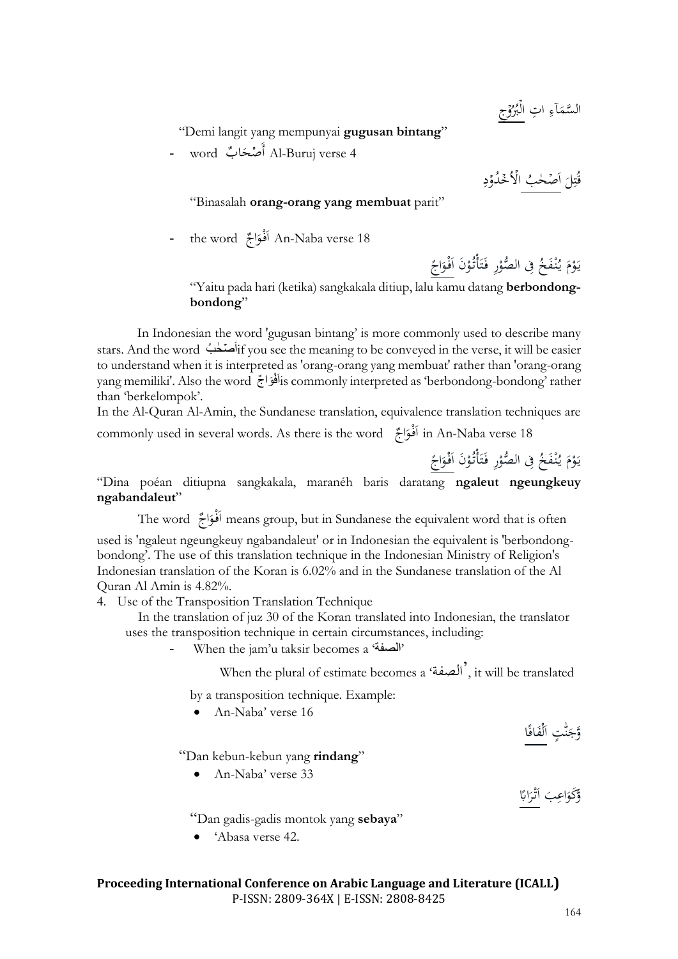ِج ۡ و ُُ ُب ۡ ِت ال ا ِ آء َ َّسم ال

"Demi langit yang mempunyai **gugusan bintang**"

 ب word - ا ْصح َأ Al-Buruj verse 4 َ

ِ د ۡ ُو د ۡ ُخ ۡ ال ُ ٰحب َصۡ ا َ ل ِ ت ُ ق

"Binasalah **orang-orang yang membuat** parit"

- the word اج ْو َف ا An-Naba verse 18 َ

 اج َ ْو َف َن ا ْ ُو أْت َ ت َ ِر ف ْ صو ِِف ال ُّ ُ َخ ْف ن ُ ي َ م ْ و َ ي

"Yaitu pada hari (ketika) sangkakala ditiup, lalu kamu datang **berbondongbondong**"

In Indonesian the word 'gugusan bintang' is more commonly used to describe many stars. And the word بُ حٰ صۡ َاif you see the meaning to be conveyed in the verse, it will be easier to understand when it is interpreted as 'orang-orang yang membuat' rather than 'orang-orang yang memiliki'. Also the word خَافَوَاجٌ is commonly interpreted as 'berbondong-bondong' rather than 'berkelompok'.

In the Al-Quran Al-Amin, the Sundanese translation, equivalence translation techniques are

commonly used in several words. As there is the word اج ْو َف ا in An-Naba verse 18 َ

 $\zeta$ يَوْمَ يُنْفَخُ فِي الصُّوْرِ فَتَأْتُوْنَ اَ<u>فْوَاجَ</u> َ ْ .<br>أ ت ُ<br>ا ْ َ ،<br>' .<br>ا "Dina poéan ditiupna sangkakala, maranéh baris daratang **ngaleut ngeungkeuy** 

The word  $\tilde{\epsilon}$ الْمُوَاجٌ means group, but in Sundanese the equivalent word that is often

َ used is 'ngaleut ngeungkeuy ngabandaleut' or in Indonesian the equivalent is 'berbondongbondong'. The use of this translation technique in the Indonesian Ministry of Religion's Indonesian translation of the Koran is 6.02% and in the Sundanese translation of the Al Quran Al Amin is 4.82%.

4. Use of the Transposition Translation Technique

**ngabandaleut**"

In the translation of juz 30 of the Koran translated into Indonesian, the translator uses the transposition technique in certain circumstances, including:

- When the jam'u taksir becomes a 'الصفة'

When the plural of estimate becomes a 'الصفة', it will be translated

by a transposition technique. Example:

• An-Naba' verse 16

"Dan kebun-kebun yang **rindang**"

• An-Naba' verse 33

"Dan gadis-gadis montok yang **sebaya**"

• 'Abasa verse 42.

وَّجَنَّتٍ الْفَافَا

وَّكَوَاعِبَ أَتْرَابًا <u>را</u> َ ا َ َ

<u>ن</u><br>ا َ َ ن َ

 $\frac{1}{2}$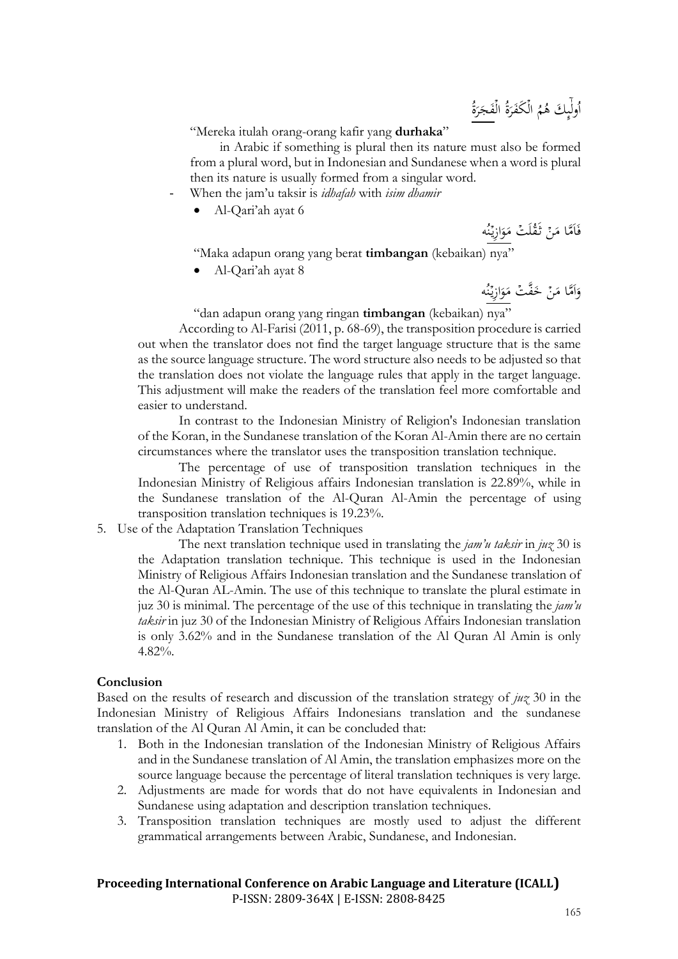ُولِّيٍكَ هُمُ الْكَفَرَةُ الْفَجَرَةُ <u>َّز</u> َ ہ<br>آ َ ہ<br>أ ِٕٮ ا

"Mereka itulah orang-orang kafir yang **durhaka**"

in Arabic if something is plural then its nature must also be formed from a plural word, but in Indonesian and Sundanese when a word is plural then its nature is usually formed from a singular word.

- When the jam'u taksir is *idhafah* with *isim dhamir*
	- Al-Qari'ah ayat 6

فَاَمَّا مَنۡ تَقۡلَٰتُ مَوَازِيۡنُه و<br>م .<br>د َ  $\overline{\phantom{a}}$ :<br>: .<br>أ

"Maka adapun orang yang berat **timbangan** (kebaikan) nya"

• Al-Qari'ah ayat 8

وَاَمَّا مَنْ خَفَّتۡ مَوَازِيۡنُه و<br>م ر<br>ر َ  $\overline{\phantom{a}}$ َ : ا ٍ<br>ر

"dan adapun orang yang ringan **timbangan** (kebaikan) nya"

According to Al-Farisi (2011, p. 68-69), the transposition procedure is carried out when the translator does not find the target language structure that is the same as the source language structure. The word structure also needs to be adjusted so that the translation does not violate the language rules that apply in the target language. This adjustment will make the readers of the translation feel more comfortable and easier to understand.

In contrast to the Indonesian Ministry of Religion's Indonesian translation of the Koran, in the Sundanese translation of the Koran Al-Amin there are no certain circumstances where the translator uses the transposition translation technique.

The percentage of use of transposition translation techniques in the Indonesian Ministry of Religious affairs Indonesian translation is 22.89%, while in the Sundanese translation of the Al-Quran Al-Amin the percentage of using transposition translation techniques is 19.23%.

### 5. Use of the Adaptation Translation Techniques

The next translation technique used in translating the *jam'u taksir* in *juz* 30 is the Adaptation translation technique. This technique is used in the Indonesian Ministry of Religious Affairs Indonesian translation and the Sundanese translation of the Al-Quran AL-Amin. The use of this technique to translate the plural estimate in juz 30 is minimal. The percentage of the use of this technique in translating the *jam'u taksir* in juz 30 of the Indonesian Ministry of Religious Affairs Indonesian translation is only 3.62% and in the Sundanese translation of the Al Quran Al Amin is only 4.82%.

### **Conclusion**

Based on the results of research and discussion of the translation strategy of *juz* 30 in the Indonesian Ministry of Religious Affairs Indonesians translation and the sundanese translation of the Al Quran Al Amin, it can be concluded that:

- 1. Both in the Indonesian translation of the Indonesian Ministry of Religious Affairs and in the Sundanese translation of Al Amin, the translation emphasizes more on the source language because the percentage of literal translation techniques is very large.
- 2. Adjustments are made for words that do not have equivalents in Indonesian and Sundanese using adaptation and description translation techniques.
- 3. Transposition translation techniques are mostly used to adjust the different grammatical arrangements between Arabic, Sundanese, and Indonesian.